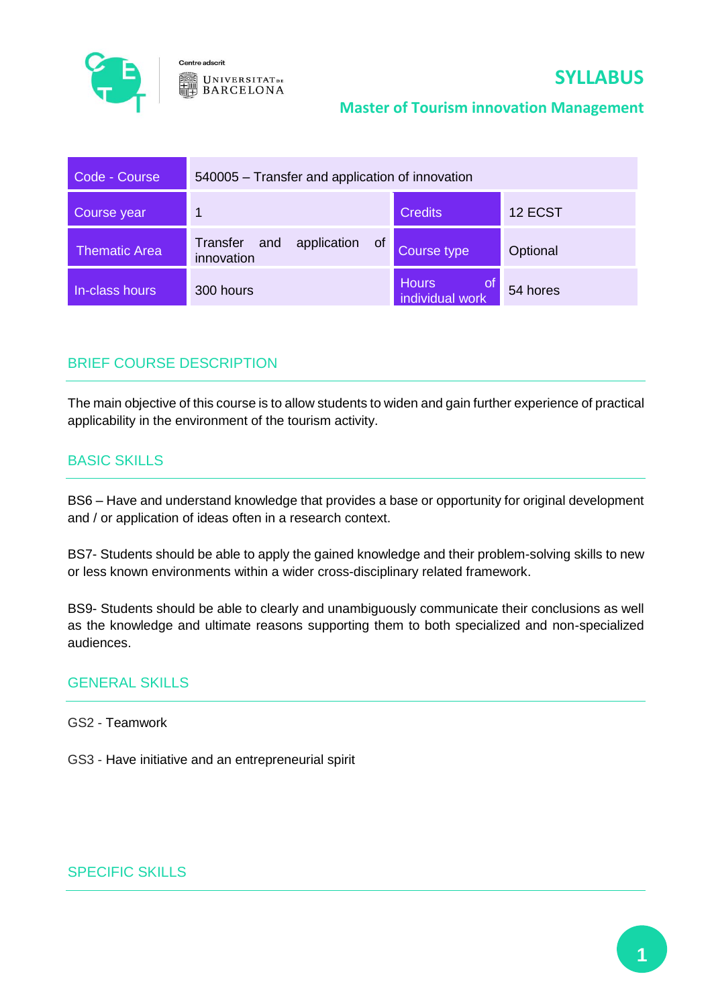

Centre adscrit  $UNIVERSITAT_{DE}$ **BARCELONA** 

# **SYLLABUS**

### **Master of Tourism innovation Management**

| Code - Course        | 540005 – Transfer and application of innovation |                                        |          |
|----------------------|-------------------------------------------------|----------------------------------------|----------|
| Course year          |                                                 | <b>Credits</b>                         | 12 ECST  |
| <b>Thematic Area</b> | application of<br>Transfer<br>and<br>innovation | Course type                            | Optional |
| In-class hours       | 300 hours                                       | <b>Hours</b><br>of.<br>individual work | 54 hores |

# BRIEF COURSE DESCRIPTION

The main objective of this course is to allow students to widen and gain further experience of practical applicability in the environment of the tourism activity.

# BASIC SKILLS

BS6 – Have and understand knowledge that provides a base or opportunity for original development and / or application of ideas often in a research context.

BS7- Students should be able to apply the gained knowledge and their problem-solving skills to new or less known environments within a wider cross-disciplinary related framework.

BS9- Students should be able to clearly and unambiguously communicate their conclusions as well as the knowledge and ultimate reasons supporting them to both specialized and non-specialized audiences.

### GENERAL SKILLS

GS2 - Teamwork

GS3 - Have initiative and an entrepreneurial spirit

# SPECIFIC SKILLS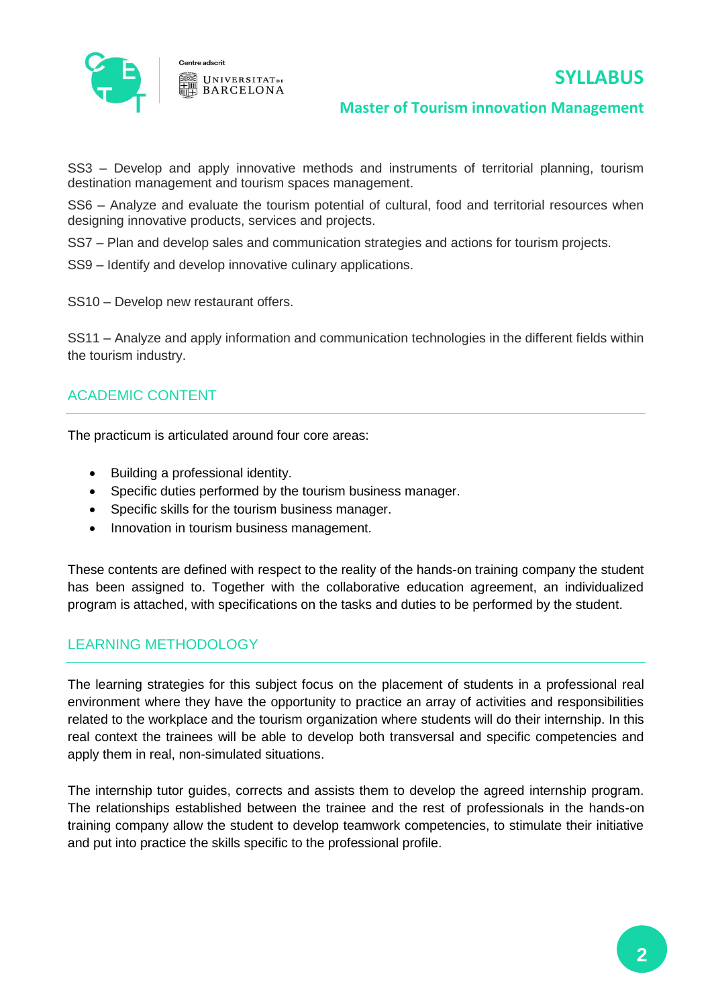

**Master of Tourism innovation Management**

SS3 – Develop and apply innovative methods and instruments of territorial planning, tourism destination management and tourism spaces management.

SS6 – Analyze and evaluate the tourism potential of cultural, food and territorial resources when designing innovative products, services and projects.

SS7 – Plan and develop sales and communication strategies and actions for tourism projects.

SS9 – Identify and develop innovative culinary applications.

**UNIVERSITATDE BARCELONA** 

SS10 – Develop new restaurant offers.

SS11 – Analyze and apply information and communication technologies in the different fields within the tourism industry.

### ACADEMIC CONTENT

The practicum is articulated around four core areas:

- Building a professional identity.
- Specific duties performed by the tourism business manager.
- Specific skills for the tourism business manager.
- Innovation in tourism business management.

These contents are defined with respect to the reality of the hands-on training company the student has been assigned to. Together with the collaborative education agreement, an individualized program is attached, with specifications on the tasks and duties to be performed by the student.

### LEARNING METHODOLOGY

The learning strategies for this subject focus on the placement of students in a professional real environment where they have the opportunity to practice an array of activities and responsibilities related to the workplace and the tourism organization where students will do their internship. In this real context the trainees will be able to develop both transversal and specific competencies and apply them in real, non-simulated situations.

The internship tutor guides, corrects and assists them to develop the agreed internship program. The relationships established between the trainee and the rest of professionals in the hands-on training company allow the student to develop teamwork competencies, to stimulate their initiative and put into practice the skills specific to the professional profile.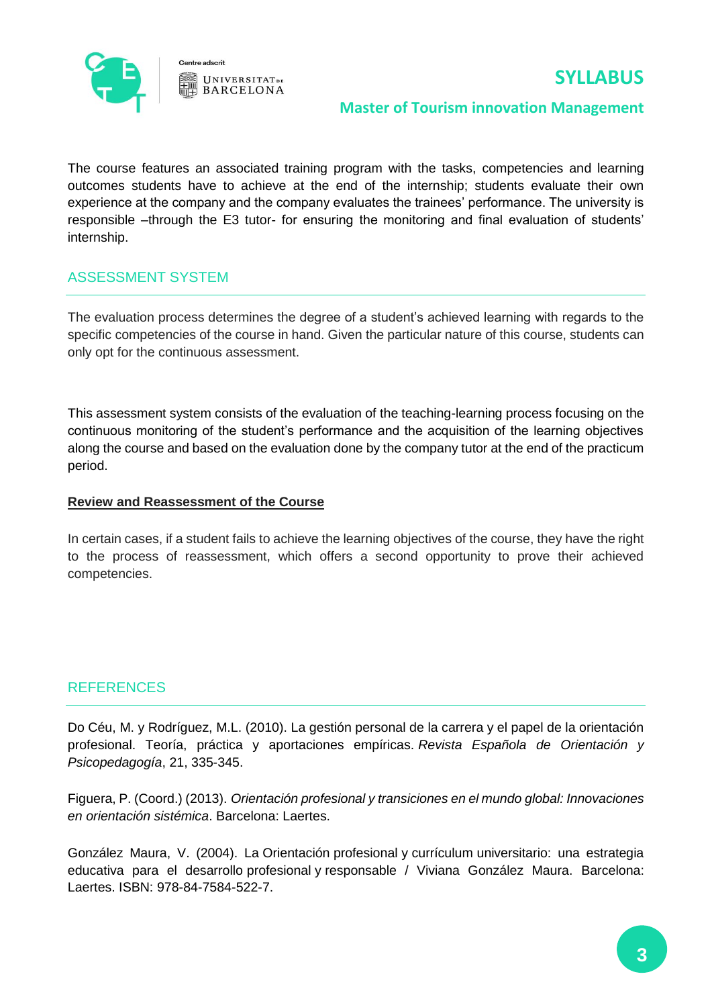

#### Centre adscrit **UNIVERSITATDE BARCELONA**

# **SYLLABUS**

### **Master of Tourism innovation Management**

The course features an associated training program with the tasks, competencies and learning outcomes students have to achieve at the end of the internship; students evaluate their own experience at the company and the company evaluates the trainees' performance. The university is responsible –through the E3 tutor- for ensuring the monitoring and final evaluation of students' internship.

# ASSESSMENT SYSTEM

The evaluation process determines the degree of a student's achieved learning with regards to the specific competencies of the course in hand. Given the particular nature of this course, students can only opt for the continuous assessment.

This assessment system consists of the evaluation of the teaching-learning process focusing on the continuous monitoring of the student's performance and the acquisition of the learning objectives along the course and based on the evaluation done by the company tutor at the end of the practicum period.

### **Review and Reassessment of the Course**

In certain cases, if a student fails to achieve the learning objectives of the course, they have the right to the process of reassessment, which offers a second opportunity to prove their achieved competencies.

# **REFERENCES**

Do Céu, M. y Rodríguez, M.L. (2010). La gestión personal de la carrera y el papel de la orientación profesional. Teoría, práctica y aportaciones empíricas. *Revista Española de Orientación y Psicopedagogía*, 21, 335-345.

Figuera, P. (Coord.) (2013). *Orientación profesional y transiciones en el mundo global: Innovaciones en orientación sistémica*. Barcelona: Laertes.

[González Maura, V.](http://cataleg.ub.edu/search~S1*cat?/aGonz%7bu00E1%7dlez+Maura%2C+Viviana/agonzalez+maura+viviana/-3,-1,0,B/browse) (2004). La Orientación profesional y currículum universitario: una estrategia educativa para el desarrollo profesional y responsable / Viviana González Maura. Barcelona: Laertes. ISBN: 978-84-7584-522-7.